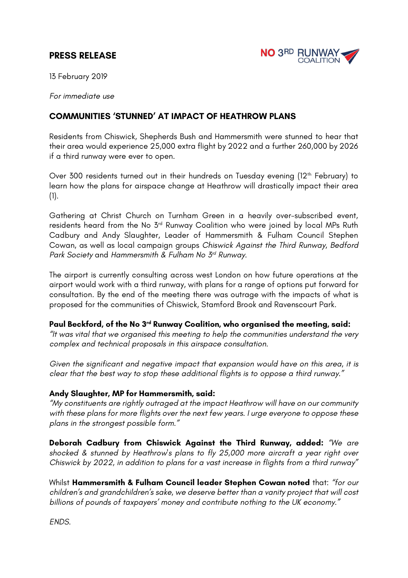# **PRESS RELEASE**



13 February 2019

*For immediate use*

## **COMMUNITIES 'STUNNED' AT IMPACT OF HEATHROW PLANS**

Residents from Chiswick, Shepherds Bush and Hammersmith were stunned to hear that their area would experience 25,000 extra flight by 2022 and a further 260,000 by 2026 if a third runway were ever to open.

Over 300 residents turned out in their hundreds on Tuesday evening (12<sup>th</sup> February) to learn how the plans for airspace change at Heathrow will drastically impact their area (1).

Gathering at Christ Church on Turnham Green in a heavily over-subscribed event, residents heard from the No 3rd Runway Coalition who were joined by local MPs Ruth Cadbury and Andy Slaughter, Leader of Hammersmith & Fulham Council Stephen Cowan, as well as local campaign groups *Chiswick Against the Third Runway, Bedford Park Society* and *Hammersmith & Fulham No 3rd Runway*.

The airport is currently consulting across west London on how future operations at the airport would work with a third runway, with plans for a range of options put forward for consultation. By the end of the meeting there was outrage with the impacts of what is proposed for the communities of Chiswick, Stamford Brook and Ravenscourt Park.

#### **Paul Beckford, of the No 3rd Runway Coalition, who organised the meeting, said:**

*"It was vital that we organised this meeting to help the communities understand the very complex and technical proposals in this airspace consultation.* 

*Given the significant and negative impact that expansion would have on this area, it is clear that the best way to stop these additional flights is to oppose a third runway."*

#### **Andy Slaughter, MP for Hammersmith, said:**

*"My constituents are rightly outraged at the impact Heathrow will have on our community with these plans for more flights over the next few years. I urge everyone to oppose these plans in the strongest possible form."*

**Deborah Cadbury from Chiswick Against the Third Runway, added:** *"We are shocked & stunned by Heathrow's plans to fly 25,000 more aircraft a year right over Chiswick by 2022, in addition to plans for a vast increase in flights from a third runway"*

Whilst **Hammersmith & Fulham Council leader Stephen Cowan noted** that: *"for our children's and grandchildren's sake, we deserve better than a vanity project that will cost billions of pounds of taxpayers' money and contribute nothing to the UK economy."*

*ENDS.*